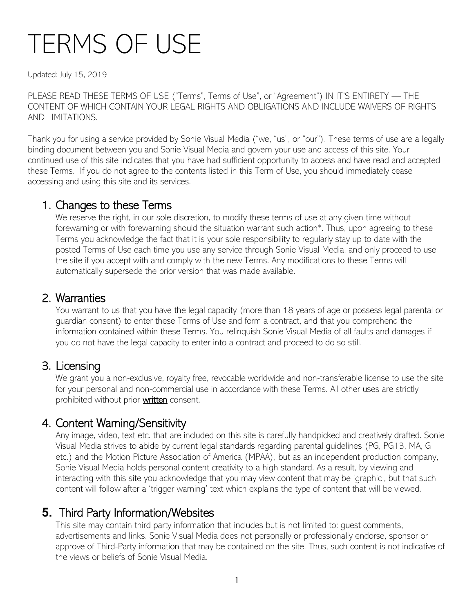# TERMS OF USE

Updated: July 15, 2019

PLEASE READ THESE TERMS OF USE ("Terms", Terms of Use", or "Agreement") IN IT'S ENTIRETY — THE CONTENT OF WHICH CONTAIN YOUR LEGAL RIGHTS AND OBLIGATIONS AND INCLUDE WAIVERS OF RIGHTS AND LIMITATIONS.

Thank you for using a service provided by Sonie Visual Media ("we, "us", or "our"). These terms of use are a legally binding document between you and Sonie Visual Media and govern your use and access of this site. Your continued use of this site indicates that you have had sufficient opportunity to access and have read and accepted these Terms. If you do not agree to the contents listed in this Term of Use, you should immediately cease accessing and using this site and its services.

1. Changes to these Terms<br>We reserve the right, in our sole discretion, to modify these terms of use at any given time without forewarning or with forewarning should the situation warrant such action\*. Thus, upon agreeing to these Terms you acknowledge the fact that it is your sole responsibility to regularly stay up to date with the posted Terms of Use each time you use any service through Sonie Visual Media, and only proceed to use the site if you accept with and comply with the new Terms. Any modifications to these Terms will automatically supersede the prior version that was made available.

2. Warranties<br>You warrant to us that you have the legal capacity (more than 18 years of age or possess legal parental or guardian consent) to enter these Terms of Use and form a contract, and that you comprehend the information contained within these Terms. You relinquish Sonie Visual Media of all faults and damages if you do not have the legal capacity to enter into a contract and proceed to do so still.

3. Licensing<br>We grant you a non-exclusive, royalty free, revocable worldwide and non-transferable license to use the site for your personal and non-commercial use in accordance with these Terms. All other uses are strictly prohibited without prior written consent.

### 4. Content Warning/Sensitivity

Any image, video, text etc. that are included on this site is carefully handpicked and creatively drafted. Sonie Visual Media strives to abide by current legal standards regarding parental guidelines (PG, PG13, MA, G etc.) and the Motion Picture Association of America (MPAA), but as an independent production company, Sonie Visual Media holds personal content creativity to a high standard. As a result, by viewing and interacting with this site you acknowledge that you may view content that may be 'graphic', but that such content will follow after a 'trigger warning' text which explains the type of content that will be viewed.

### **5.** Third Party Information/Websites

This site may contain third party information that includes but is not limited to: guest comments, advertisements and links. Sonie Visual Media does not personally or professionally endorse, sponsor or approve of Third-Party information that may be contained on the site. Thus, such content is not indicative of the views or beliefs of Sonie Visual Media.